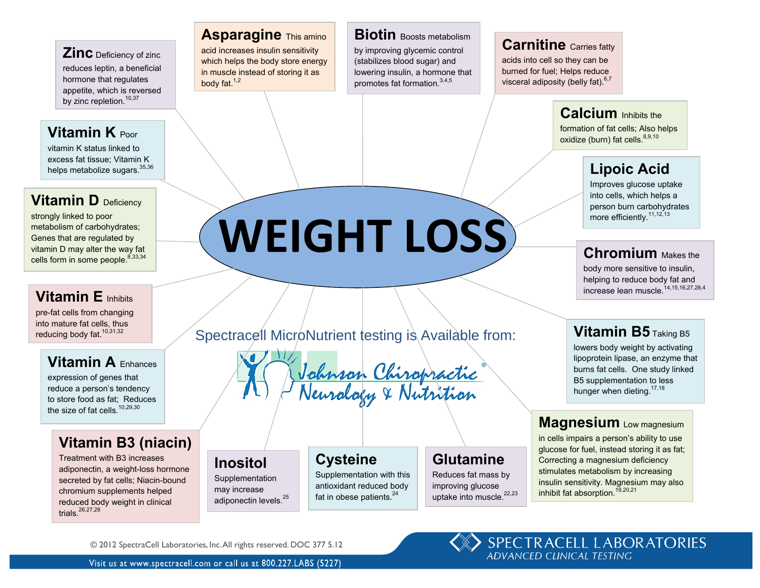#### **Zinc** Deficiency of zinc **Conducts** reduces leptin, a beneficial hormone that regulates  $\frac{m}{\pi}$  hormone that regulates appetite, which is reversed by zinc repletion.<sup>10,37</sup>

### **Vitamin K** Poor

vitamin K status linked to excess fat tissue; Vitamin K helps metabolize sugars.<sup>35,36</sup>

# **Vitamin D** Deficiency

strongly linked to poor metabolism of carbohydrates; Genes that are regulated by vitamin D may alter the way fat cells form in some people. $8,33,34$ 

# **Vitamin E** Inhibits

pre-fat cells from changing into mature fat cells, thus into mature fat cells, thus<br>reducing body fat.<sup>10,31,32</sup>

### **Vitamin A Enhances**  $\overline{\phantom{a}}$  show benefit with  $\overline{\phantom{a}}$

expression of genes that reduce a person's tendency to store food as fat; Reduces the size of fat cells. $10,29,30$ 

#### **Vitamin B3 (niacin) Magnetic Properties of the migration**  $p_{\text{max}}$

Treatment with B3 increases adiponectin, a weight-loss hormone **INOSITOI** secreted by fat cells; Niacin-bound | Supplementation chromium supplements helped **the may increase** reduced body weight in clinical trials. $^{26,27,28}$ 

### **Asparagine** This amino

acid increases insulin sensitivity which helps the body store energy in muscle instead of storing it as lowe body fat. $1,2$ 

### **Biotin** Boosts metabolism

by improving glycemic control (stabilizes blood sugar) and lowering insulin, a hormone that **promotes fat formation.**<sup>3,4,5</sup>

### **Carnitine** Carries fatty

acids into cell so they can be **burned for fuel; Helps reduce** visceral adiposity (belly fat).  $6,7$ 

#### **Calcium** Inhibits the mitochondrial energy metabolism

formation of fat cells; Also helps oxidize (burn) fat cells.<sup>8,9,10</sup>

# **Lipoic Acid Lipoic Acid**

Improves glucose uptake into cells, which helps a metabolis, which helps a<br>person burn carbohydrates more efficiently.<sup>11,12,13</sup>

### **Chromium** Makes the

body more sensitive to insulin, body more sensitive to insulin,<br>helping to reduce body fat and  $\frac{1}{2}$  increase lean muscle.<sup>14,15,16,27,28,4</sup>

#### **Vitamin B5** Taking B5 on headache frequency.

lowers body weight by activating lipoprotein lipase, an enzyme that burns fat cells. One study linked **B5** supplementation to less<br>B5 supplementation to less hunger when dieting.  $17,18$ 

#### **Magnesium** Low magnesium migranic pathogenesis pathogenesis pathogenesis pathogenesis pathogenesis pathogenesis pathogenesis pathogenes

in cells impairs a person's ability to use glucose for fuel, instead storing it as fat; Correcting a magnesium deficiency **Stimulates metabolism by increasing**<br>Huges fat mass by **Stimulates metabolism by increasing** insulin sensitivity. Magnesium may also inhibit fat absorption.<sup>19,20,21</sup>

[Spectracell MicroNutrient testing is Available from:](http://www.helpmychronicpain.com/what-makes-me-unique/)

 $\overrightarrow{WE1GHT}$  LOSS

increases serotonin

Johnson Chiropra  $M_{\rm g}$   $\sim$   $\mu_{\rm g}$   $\sim$   $M_{\odot}$  $i$  in might

### **Cysteine**

Supplementation with this antioxidant reduced body fat in obese patients. $24$ 

## **Glutamine**

Reduces fat mass by improving glucose uptake into muscle.<sup>22,23</sup>

© 2012 SpectraCell Laboratories, Inc. All rights reserved. DOC 377 5.12

**Inositol Supplementation** may increase adiponectin levels.<sup>25</sup>

SPECTRACELL LABORATORIES **ADVANCED CHNICAL TESTING**